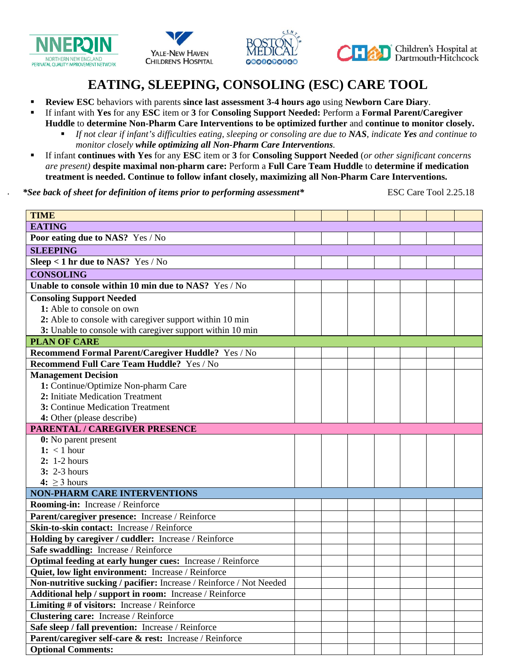







# **EATING, SLEEPING, CONSOLING (ESC) CARE TOOL**

- **Review ESC** behaviors with parents **since last assessment 3-4 hours ago** using **Newborn Care Diary**.
- If infant with **Yes** for any **ESC** item or **3** for **Consoling Support Needed:** Perform a **Formal Parent/Caregiver Huddle** to **determine Non-Pharm Care Interventions to be optimized further** and **continue to monitor closely.** 
	- *If not clear if infant's difficulties eating, sleeping or consoling are due to NAS, indicate Yes and continue to monitor closely while optimizing all Non-Pharm Care Interventions.*
- If infant **continues with Yes** for any **ESC** item or **3** for **Consoling Support Needed** (*or other significant concerns are present)* **despite maximal non-pharm care:** Perform a **Full Care Team Huddle** to **determine if medication treatment is needed. Continue to follow infant closely, maximizing all Non-Pharm Care Interventions.**

*\*See back of sheet for definition of items prior to performing assessment\** ESC Care Tool 2.25.18

| <b>TIME</b>                                                         |  |  |  |  |  |  |  |
|---------------------------------------------------------------------|--|--|--|--|--|--|--|
| <b>EATING</b>                                                       |  |  |  |  |  |  |  |
| Poor eating due to NAS? Yes / No                                    |  |  |  |  |  |  |  |
| <b>SLEEPING</b>                                                     |  |  |  |  |  |  |  |
| Sleep < 1 hr due to NAS? Yes / No                                   |  |  |  |  |  |  |  |
| <b>CONSOLING</b>                                                    |  |  |  |  |  |  |  |
| Unable to console within 10 min due to NAS? Yes / No                |  |  |  |  |  |  |  |
| <b>Consoling Support Needed</b>                                     |  |  |  |  |  |  |  |
| 1: Able to console on own                                           |  |  |  |  |  |  |  |
| 2: Able to console with caregiver support within 10 min             |  |  |  |  |  |  |  |
| 3: Unable to console with caregiver support within 10 min           |  |  |  |  |  |  |  |
| <b>PLAN OF CARE</b>                                                 |  |  |  |  |  |  |  |
| Recommend Formal Parent/Caregiver Huddle? Yes / No                  |  |  |  |  |  |  |  |
| Recommend Full Care Team Huddle? Yes / No                           |  |  |  |  |  |  |  |
| <b>Management Decision</b>                                          |  |  |  |  |  |  |  |
| 1: Continue/Optimize Non-pharm Care                                 |  |  |  |  |  |  |  |
| 2: Initiate Medication Treatment                                    |  |  |  |  |  |  |  |
| 3: Continue Medication Treatment                                    |  |  |  |  |  |  |  |
| 4: Other (please describe)                                          |  |  |  |  |  |  |  |
| <b>PARENTAL / CAREGIVER PRESENCE</b>                                |  |  |  |  |  |  |  |
| 0: No parent present                                                |  |  |  |  |  |  |  |
| $1: \langle 1 \text{ hour}$                                         |  |  |  |  |  |  |  |
| $2: 1-2 hours$                                                      |  |  |  |  |  |  |  |
| $3: 2-3 hours$                                                      |  |  |  |  |  |  |  |
| 4: $\geq$ 3 hours                                                   |  |  |  |  |  |  |  |
| <b>NON-PHARM CARE INTERVENTIONS</b>                                 |  |  |  |  |  |  |  |
| Rooming-in: Increase / Reinforce                                    |  |  |  |  |  |  |  |
| Parent/caregiver presence: Increase / Reinforce                     |  |  |  |  |  |  |  |
| Skin-to-skin contact: Increase / Reinforce                          |  |  |  |  |  |  |  |
| Holding by caregiver / cuddler: Increase / Reinforce                |  |  |  |  |  |  |  |
| Safe swaddling: Increase / Reinforce                                |  |  |  |  |  |  |  |
| Optimal feeding at early hunger cues: Increase / Reinforce          |  |  |  |  |  |  |  |
| Quiet, low light environment: Increase / Reinforce                  |  |  |  |  |  |  |  |
| Non-nutritive sucking / pacifier: Increase / Reinforce / Not Needed |  |  |  |  |  |  |  |
| Additional help / support in room: Increase / Reinforce             |  |  |  |  |  |  |  |
| Limiting # of visitors: Increase / Reinforce                        |  |  |  |  |  |  |  |
| Clustering care: Increase / Reinforce                               |  |  |  |  |  |  |  |
| Safe sleep / fall prevention: Increase / Reinforce                  |  |  |  |  |  |  |  |
| Parent/caregiver self-care & rest: Increase / Reinforce             |  |  |  |  |  |  |  |
| <b>Optional Comments:</b>                                           |  |  |  |  |  |  |  |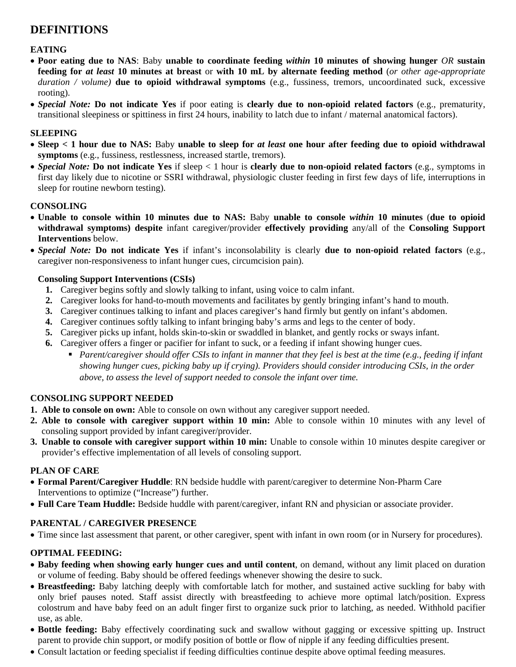# **DEFINITIONS**

# **EATING**

- **Poor eating due to NAS**: Baby **unable to coordinate feeding** *within* **10 minutes of showing hunger** *OR* **sustain feeding for** *at least* **10 minutes at breast** or **with 10 mL by alternate feeding method** (*or other age-appropriate duration / volume)* **due to opioid withdrawal symptoms** (e.g., fussiness, tremors, uncoordinated suck, excessive rooting).
- *Special Note:* **Do not indicate Yes** if poor eating is **clearly due to non-opioid related factors** (e.g., prematurity, transitional sleepiness or spittiness in first 24 hours, inability to latch due to infant / maternal anatomical factors).

#### **SLEEPING**

- **Sleep < 1 hour due to NAS:** Baby **unable to sleep for** *at least* **one hour after feeding due to opioid withdrawal symptoms** (e.g., fussiness, restlessness, increased startle, tremors).
- *Special Note:* **Do not indicate Yes** if sleep < 1 hour is **clearly due to non-opioid related factors** (e.g., symptoms in first day likely due to nicotine or SSRI withdrawal, physiologic cluster feeding in first few days of life, interruptions in sleep for routine newborn testing).

#### **CONSOLING**

- **Unable to console within 10 minutes due to NAS:** Baby **unable to console** *within* **10 minutes** (**due to opioid withdrawal symptoms) despite** infant caregiver/provider **effectively providing** any/all of the **Consoling Support Interventions** below.
- *Special Note:* **Do not indicate Yes** if infant's inconsolability is clearly **due to non-opioid related factors** (e.g., caregiver non-responsiveness to infant hunger cues, circumcision pain).

#### **Consoling Support Interventions (CSIs)**

- **1.** Caregiver begins softly and slowly talking to infant, using voice to calm infant.
- **2.** Caregiver looks for hand-to-mouth movements and facilitates by gently bringing infant's hand to mouth.
- **3.** Caregiver continues talking to infant and places caregiver's hand firmly but gently on infant's abdomen.
- **4.** Caregiver continues softly talking to infant bringing baby's arms and legs to the center of body.
- **5.** Caregiver picks up infant, holds skin-to-skin or swaddled in blanket, and gently rocks or sways infant.
- **6.** Caregiver offers a finger or pacifier for infant to suck, or a feeding if infant showing hunger cues.
	- **Parent/caregiver should offer CSIs to infant in manner that they feel is best at the time (e.g., feeding if infant** *showing hunger cues, picking baby up if crying). Providers should consider introducing CSIs, in the order above, to assess the level of support needed to console the infant over time.*

# **CONSOLING SUPPORT NEEDED**

- **1. Able to console on own:** Able to console on own without any caregiver support needed.
- **2. Able to console with caregiver support within 10 min:** Able to console within 10 minutes with any level of consoling support provided by infant caregiver/provider.
- **3. Unable to console with caregiver support within 10 min:** Unable to console within 10 minutes despite caregiver or provider's effective implementation of all levels of consoling support.

# **PLAN OF CARE**

- **Formal Parent/Caregiver Huddle**: RN bedside huddle with parent/caregiver to determine Non-Pharm Care Interventions to optimize ("Increase") further.
- **Full Care Team Huddle:** Bedside huddle with parent/caregiver, infant RN and physician or associate provider.

# **PARENTAL / CAREGIVER PRESENCE**

• Time since last assessment that parent, or other caregiver, spent with infant in own room (or in Nursery for procedures).

# **OPTIMAL FEEDING:**

- **Baby feeding when showing early hunger cues and until content**, on demand, without any limit placed on duration or volume of feeding. Baby should be offered feedings whenever showing the desire to suck.
- **Breastfeeding:** Baby latching deeply with comfortable latch for mother, and sustained active suckling for baby with only brief pauses noted. Staff assist directly with breastfeeding to achieve more optimal latch/position. Express colostrum and have baby feed on an adult finger first to organize suck prior to latching, as needed. Withhold pacifier use, as able.
- **Bottle feeding:** Baby effectively coordinating suck and swallow without gagging or excessive spitting up. Instruct parent to provide chin support, or modify position of bottle or flow of nipple if any feeding difficulties present.
- Consult lactation or feeding specialist if feeding difficulties continue despite above optimal feeding measures.